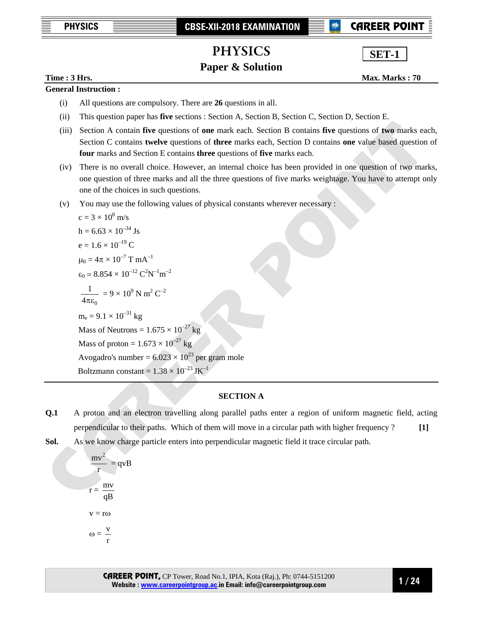**<sup>®</sup> CAREER POIN** 

**SET-1**

# PHYSICS

# **Paper & Solution**

**Time : 3 Hrs.** Max. Marks : 70

# **General Instruction :**

- (i) All questions are compulsory. There are **26** questions in all.
- (ii) This question paper has **five** sections : Section A, Section B, Section C, Section D, Section E.
- (iii) Section A contain **five** questions of **one** mark each. Section B contains **five** questions of **two** marks each, Section C contains **twelve** questions of **three** marks each, Section D contains **one** value based question of **four** marks and Section E contains **three** questions of **five** marks each.
- (iv) There is no overall choice. However, an internal choice has been provided in one question of two marks, one question of three marks and all the three questions of five marks weightage. You have to attempt only one of the choices in such questions.
- (v) You may use the following values of physical constants wherever necessary :

c = 3 × 10<sup>8</sup> m/s  
\nh = 6.63 × 10<sup>-34</sup> Js  
\ne = 1.6 × 10<sup>-19</sup> C  
\n
$$
\mu_0 = 4\pi × 10^{-7}
$$
 T mA<sup>-1</sup>  
\n $\varepsilon_0 = 8.854 × 10^{-12}$  C<sup>2</sup>N<sup>-1</sup>m<sup>-2</sup>  
\n $\frac{1}{4\pi\varepsilon_0} = 9 × 10^9$  N m<sup>2</sup> C<sup>-2</sup>  
\nm<sub>e</sub> = 9.1 × 10<sup>-31</sup> kg  
\nMass of Neutrons = 1.675 × 10<sup>-27</sup> kg  
\nMass of proton = 1.673 × 10<sup>-27</sup> kg  
\nAvogadro's number = 6.023 × 10<sup>-23</sup> per gram mole  
\nBoltzmann constant = 1.38 × 10<sup>-23</sup> JK<sup>-1</sup>

## **SECTION A**

- **Q.1** A proton and an electron travelling along parallel paths enter a region of uniform magnetic field, acting perpendicular to their paths. Which of them will move in a circular path with higher frequency ? **[1]**
- **Sol.** As we know charge particle enters into perpendicular magnetic field it trace circular path.

$$
\frac{mv^{2}}{r} = qvB
$$
  

$$
r = \frac{mv}{qB}
$$
  

$$
v = r\omega
$$
  

$$
\omega = \frac{v}{r}
$$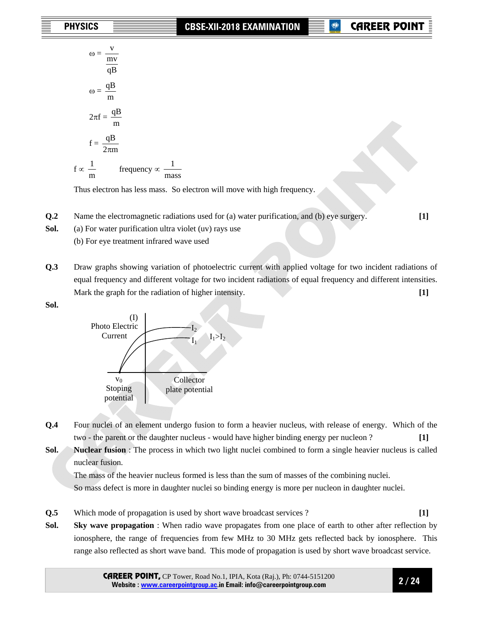$\omega = \frac{v}{mv}$ qB v  $\omega = \frac{qB}{m}$  $2\pi f =$ m qB  $f =$  $2\pi m$ qB π  $f \propto \frac{1}{m}$  frequency  $\propto \frac{1}{mass}$ 

Thus electron has less mass. So electron will move with high frequency.

**Q.2** • Name the electromagnetic radiations used for (a) water purification, and (b) eye surgery. [1]

**Sol.** (a) For water purification ultra violet (uv) rays use

(b) For eye treatment infrared wave used

**Q.3** Draw graphs showing variation of photoelectric current with applied voltage for two incident radiations of equal frequency and different voltage for two incident radiations of equal frequency and different intensities. Mark the graph for the radiation of higher intensity. **[1]**

**Sol.** 



- **Q.4** Four nuclei of an element undergo fusion to form a heavier nucleus, with release of energy. Which of the two - the parent or the daughter nucleus - would have higher binding energy per nucleon ? **[1]**
- **Sol.** Nuclear fusion : The process in which two light nuclei combined to form a single heavier nucleus is called nuclear fusion.

The mass of the heavier nucleus formed is less than the sum of masses of the combining nuclei.

So mass defect is more in daughter nuclei so binding energy is more per nucleon in daughter nuclei.

- **Q.5** Which mode of propagation is used by short wave broadcast services ? **[1]**
- **Sol. Sky wave propagation** : When radio wave propagates from one place of earth to other after reflection by ionosphere, the range of frequencies from few MHz to 30 MHz gets reflected back by ionosphere. This range also reflected as short wave band. This mode of propagation is used by short wave broadcast service.

CAREER POINT, CP Tower, Road No.1, IPIA, Kota (Raj.), Ph: 0744-5151200 **Website : www.careerpointgroup.ac.in Email: info@careerpointgroup.com** 

**2 / 24**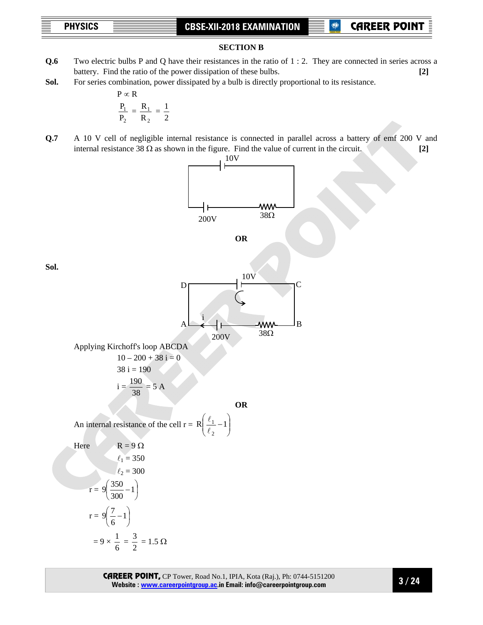**P** CAREER POIN

# **SECTION B**

- **Q.6** Two electric bulbs P and Q have their resistances in the ratio of 1 : 2. They are connected in series across a battery. Find the ratio of the power dissipation of these bulbs. **[2]**
- **Sol.** For series combination, power dissipated by a bulb is directly proportional to its resistance.

$$
P \propto R
$$

$$
\frac{P_1}{P_1} = \frac{R_1}{R_2}
$$

$$
\frac{P_1}{P_2} = \frac{R_1}{R_2} = \frac{1}{2}
$$

1

**Q.7** A 10 V cell of negligible internal resistance is connected in parallel across a battery of emf 200 V and internal resistance 38  $\Omega$  as shown in the figure. Find the value of current in the circuit. **[2]** 

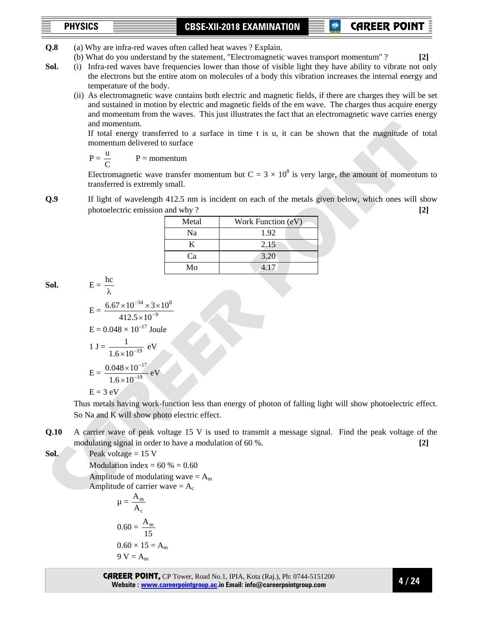**P** CAREER POIN

- **Q.8** (a) Why are infra-red waves often called heat waves ? Explain.
	- (b) What do you understand by the statement, "Electromagnetic waves transport momentum" ? **[2]**

**Sol.** (i) Infra-red waves have frequencies lower than those of visible light they have ability to vibrate not only the electrons but the entire atom on molecules of a body this vibration increases the internal energy and temperature of the body.

(ii) As electromagnetic wave contains both electric and magnetic fields, if there are charges they will be set and sustained in motion by electric and magnetic fields of the em wave. The charges thus acquire energy and momentum from the waves. This just illustrates the fact that an electromagnetic wave carries energy and momentum.

 If total energy transferred to a surface in time t is u, it can be shown that the magnitude of total momentum delivered to surface

$$
P = \frac{u}{C} \qquad P = \text{momentum}
$$

Electromagnetic wave transfer momentum but  $C = 3 \times 10^8$  is very large, the amount of momentum to transferred is extremly small.

**Q.9** If light of wavelength 412.5 nm is incident on each of the metals given below, which ones will show photoelectric emission and why ? **[2]**

| Metal | Work Function (eV) |
|-------|--------------------|
| Na    | 1.92               |
| K     | 2.15               |
| Ca    | 3.20               |
| Mo    | 417                |

$$
Sol. \qquad \qquad E=
$$

$$
E = \frac{6.67 \times 10^{-34} \times 3 \times 10^8}{412.5 \times 10^{-9}}
$$
  
\n
$$
E = 0.048 \times 10^{-17} \text{ Joule}
$$
  
\n
$$
1 \text{ J} = \frac{1}{1.6 \times 10^{-19}} \text{ eV}
$$
  
\n
$$
E = \frac{0.048 \times 10^{-17}}{1.6 \times 10^{-19}} \text{ eV}
$$
  
\n
$$
E = 3 \text{ eV}
$$

hc

 Thus metals having work-function less than energy of photon of falling light will show photoelectric effect. So Na and K will show photo electric effect.

**Q.10** A carrier wave of peak voltage 15 V is used to transmit a message signal. Find the peak voltage of the modulating signal in order to have a modulation of 60 %. **[2]**

**Sol.**  $\qquad$  **Peak voltage = 15 V** 

**Modulation index =**  $60\%$  **= 0.60** 

Amplitude of modulating wave  $= A<sub>m</sub>$ Amplitude of carrier wave  $= A_c$ 

$$
\mu = \frac{A_m}{A_c}
$$
  

$$
0.60 = \frac{A_m}{15}
$$
  

$$
0.60 \times 15 = A_m
$$
  

$$
9 \text{ V} = A_m
$$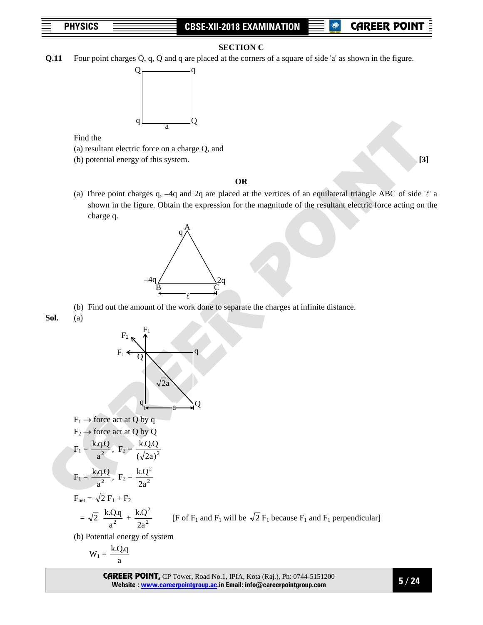### **SECTION C**

**Q.11** Four point charges Q, q, Q and q are placed at the corners of a square of side 'a' as shown in the figure.



Find the

- (a) resultant electric force on a charge Q, and
- (b) potential energy of this system. **[3]**

### **OR**

(a) Three point charges q, -4q and 2q are placed at the vertices of an equilateral triangle ABC of side  $\ell$  a shown in the figure. Obtain the expression for the magnitude of the resultant electric force acting on the charge q.



(b) Find out the amount of the work done to separate the charges at infinite distance.

**Sol.** (a)



(b) Potential energy of system

$$
\mathbf{W}_1 = \frac{\mathbf{k}.\mathbf{Q}.\mathbf{q}}{a}
$$

CAREER POINT, CP Tower, Road No.1, IPIA, Kota (Raj.), Ph: 0744-5151200 **Website : www.careerpointgroup.ac.in Email: info@careerpointgroup.com** 

**5 / 24**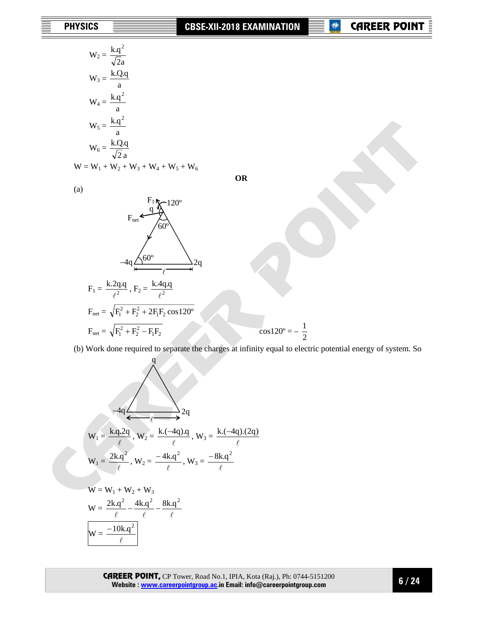**OR** 

| $W_2 = \frac{k.q^2}{\sqrt{2}a}$ |
|---------------------------------|
| $W_3 = \frac{k.Q.q}{a}$         |
| $W_4 = \frac{k.q^2}{a}$         |
| $W_5 = \frac{k.q^2}{a}$         |
| $W_6 = \frac{k.Q.q}{\sqrt{2}a}$ |

$$
W = W_1 + W_2 + W_3 + W_4 + W_5 + W_6
$$

(a)

(a)  
\n
$$
F_{net} \xleftarrow{F_1} \sqrt{\frac{120^{\circ}}{60^{\circ}}}
$$
  
\n $-4q \xleftarrow{60^{\circ}} \sqrt{\frac{120^{\circ}}{\ell}} = 2q$   
\n $F_1 = \frac{k \cdot 2q \cdot q}{\ell^2}, F_2 = \frac{k \cdot 4q \cdot q}{\ell^2}$   
\n $F_{net} = \sqrt{F_1^2 + F_2^2 + 2F_1F_2 \cos 120^{\circ}}$   
\n $F_{net} = \sqrt{F_1^2 + F_2^2 - F_1F_2}$   $\cos 120^{\circ} = -\frac{1}{2}$ 

(b) Work done required to separate the charges at infinity equal to electric potential energy of system. So

$$
-4q \longrightarrow Q
$$
  
\n
$$
W_1 = \frac{k \cdot q \cdot 2q}{\ell}, W_2 = \frac{k \cdot (-4q) \cdot q}{\ell}, W_3 = \frac{k \cdot (-4q) \cdot (2q)}{\ell}
$$
  
\n
$$
W_1 = \frac{2k \cdot q^2}{\ell}, W_2 = \frac{-4k \cdot q^2}{\ell}, W_3 = \frac{-8k \cdot q^2}{\ell}
$$
  
\n
$$
W = W_1 + W_2 + W_3
$$

q

$$
W = \frac{2k.q^2}{\ell} - \frac{4k.q^2}{\ell} - \frac{8k.q^2}{\ell}
$$

$$
W = \frac{-10k.q^2}{\ell}
$$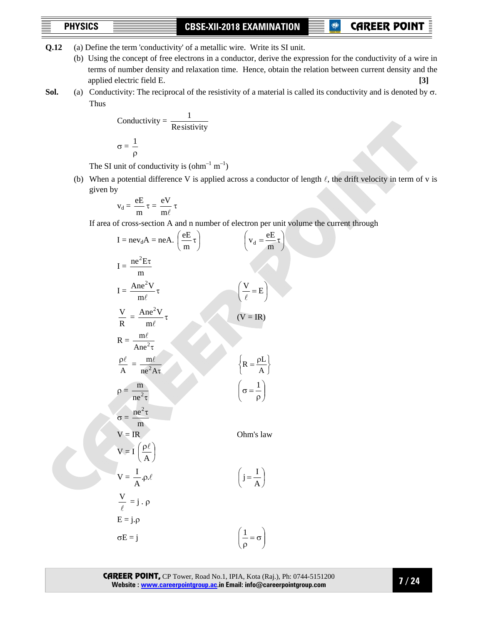**<sup>®</sup> CAREER POIN** 

- **Q.12** (a) Define the term 'conductivity' of a metallic wire. Write its SI unit.
	- (b) Using the concept of free electrons in a conductor, derive the expression for the conductivity of a wire in terms of number density and relaxation time. Hence, obtain the relation between current density and the applied electric field E. **[3]**
- **Sol.** (a) Conductivity: The reciprocal of the resistivity of a material is called its conductivity and is denoted by σ. Thus

Conductivity = 
$$
\frac{1}{\text{Resistivity}}
$$
  

$$
\sigma = \frac{1}{\rho}
$$

The SI unit of conductivity is  $\text{(ohm}^{-1} \text{ m}^{-1})$ 

(b) When a potential difference V is applied across a conductor of length  $\ell$ , the drift velocity in term of v is given by

$$
v_d=\frac{eE}{m}\,\tau=\frac{eV}{m\ell}\,\tau
$$

If area of cross-section A and n number of electron per unit volume the current through

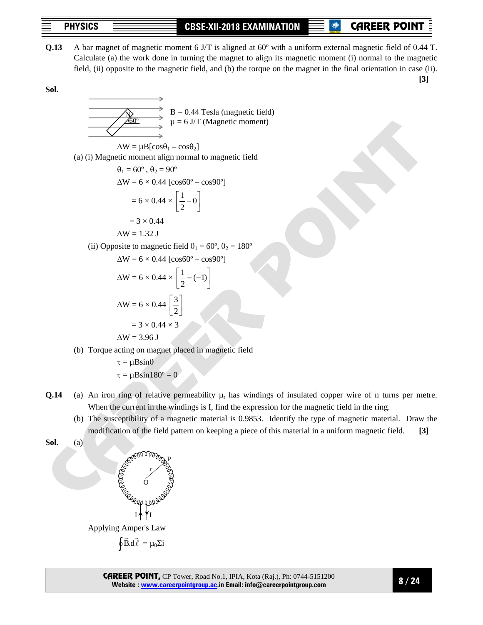**P** CAREER POINT

**Q.13** A bar magnet of magnetic moment 6 J/T is aligned at 60º with a uniform external magnetic field of 0.44 T. Calculate (a) the work done in turning the magnet to align its magnetic moment (i) normal to the magnetic field, (ii) opposite to the magnetic field, and (b) the torque on the magnet in the final orientation in case (ii).

 **[3]** 

**Sol.** 

$$
\begin{array}{c}\n\hline\n\end{array}
$$
\nB = 0.44 Tesla (magnetic field)  
\n
$$
\mu = 6 \text{ J/T (Magnetic moment)}
$$

$$
\Delta W = \mu B[\cos\theta_1 - \cos\theta_2]
$$
  
(a) (i) Magnetic moment align normal to magnetic field

$$
\theta_1 = 60^\circ, \ \theta_2 = 90^\circ
$$
  
\n
$$
\Delta W = 6 \times 0.44 \text{ [cos60° - cos90°]}
$$
  
\n
$$
= 6 \times 0.44 \times \left[ \frac{1}{2} - 0 \right]
$$
  
\n
$$
= 3 \times 0.44
$$

$$
\Delta W = 1.32 J
$$

(ii) Opposite to magnetic field  $\theta_1 = 60^\circ$ ,  $\theta_2 = 180^\circ$ 

$$
\Delta W = 6 \times 0.44 \text{ [cos60° - cos90°]}
$$
  
\n
$$
\Delta W = 6 \times 0.44 \times \left[\frac{1}{2} - (-1)\right]
$$
  
\n
$$
\Delta W = 6 \times 0.44 \left[\frac{3}{2}\right]
$$
  
\n= 3 \times 0.44 \times 3  
\n
$$
\Delta W = 3.96 \text{ J}
$$

- (b) Torque acting on magnet placed in magnetic field
	- $\tau = \mu \text{B}\sin\theta$  $\tau = \mu \text{B}\sin 180^\circ = 0$
- **Q.14** (a) An iron ring of relative permeability  $\mu_r$  has windings of insulated copper wire of n turns per metre. When the current in the windings is I, find the expression for the magnetic field in the ring.
	- (b) The susceptibility of a magnetic material is 0.9853. Identify the type of magnetic material. Draw the modification of the field pattern on keeping a piece of this material in a uniform magnetic field. **[3]**

Sol.

\n(a)

\n
$$
\begin{array}{r}\n\text{SOD 00000} \text{COD 0000} \text{COD 0000} \text{COD 0000} \text{COD 0000} \text{COD 0000} \text{COD 0000} \text{COD 0000} \text{COD 0000} \text{COD 0000} \text{COD 0000} \text{COD 0000} \text{COD 0000} \text{COD 0000} \text{COD 0000} \text{COD 0000} \text{COD 0000} \text{COD 0000} \text{COD 0000} \text{COD 0000} \text{COD 0000} \text{COD 0000} \text{COD 0000} \text{COD 0000} \text{COD 0000} \text{COD 0000} \text{COD 0000} \text{COD 0000} \text{COD 0000} \text{COD 0000} \text{COD 0000} \text{COD 0000} \text{COD 0000} \text{COD 0000} \text{COD 0000} \text{COD 0000} \text{COD 0000} \text{COD 0000} \text{COD 0000} \text{COD 0000} \text{COD 0000} \text{COD 0000} \text{COD 0000} \text{COD 0000} \text{COD 0000} \text{COD 0000} \text{COD 0000} \text{COD 0000} \text{COD 0000} \text{COD 0000} \text{COD 0000} \text{COD 0000} \text{COD 0000} \text{COD 0000} \text{COD 0000} \text{COD 0000} \text{COD 0000} \text{COD 0000} \text{COD 0000} \text{COD 0000} \text{COD 0000} \text{COD 0000} \text{COD 0000} \text{COD 0000} \text{COD 0000} \text{COD 0000} \text{COD 0000}
$$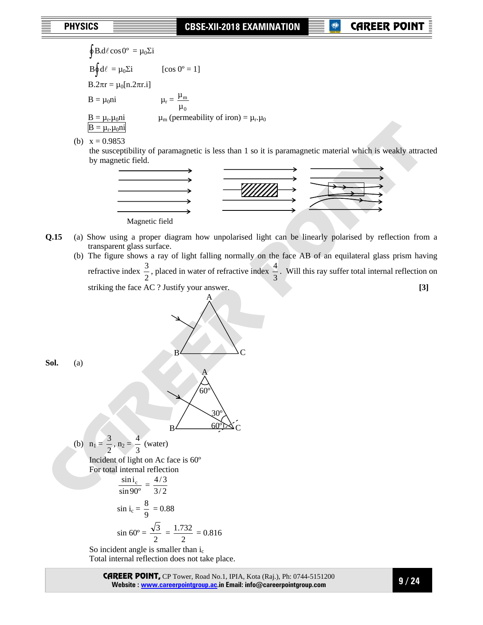**P** CAREER POIN

$$
\oint B.d\ell \cos 0^{\circ} = \mu_0 \Sigma i
$$
\n
$$
B \oint d\ell = \mu_0 \Sigma i \qquad [\cos 0^{\circ} = 1]
$$
\n
$$
B.2\pi r = \mu_0[n.2\pi r.i]
$$
\n
$$
B = \mu_0 n i \qquad \qquad \mu_r = \frac{\mu_m}{\mu_0}
$$
\n
$$
\frac{B = \mu_r \mu_0 n i}{\beta} \qquad \qquad \mu_m \text{ (permeability of iron)} = \mu_r \mu_0
$$

(b)  $x = 0.9853$ 

 the susceptibility of paramagnetic is less than 1 so it is paramagnetic material which is weakly attracted by magnetic field.



**Q.15** (a) Show using a proper diagram how unpolarised light can be linearly polarised by reflection from a transparent glass surface.

A

(b) The figure shows a ray of light falling normally on the face AB of an equilateral glass prism having refractive index  $\frac{3}{2}$ , placed in water of refractive index  $\frac{4}{3}$ . Will this ray suffer total internal reflection on striking the face AC ? Justify your answer. **[3] [3]** 

**Sol.**  $($ 

B C 60º A 30º B 60º C (b) n1 = 2 3 , n2 = 3 4 (water) Incident of light on Ac face is 60º For total internal reflection sin 90º sin ic = 3/ <sup>2</sup> 4 / 3 sin ic = 9 8 = 0.88 sin 60º = 2 3 = 2 1.732 = 0.816 So incident angle is smaller than ic

Total internal reflection does not take place.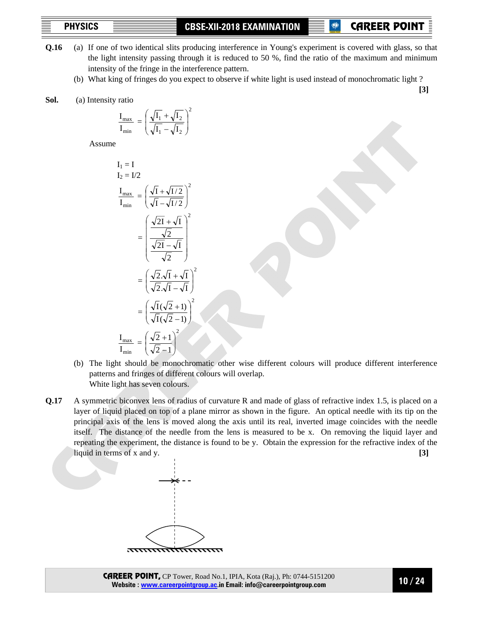**P** CAREER POIN

- **Q.16** (a) If one of two identical slits producing interference in Young's experiment is covered with glass, so that the light intensity passing through it is reduced to 50 %, find the ratio of the maximum and minimum intensity of the fringe in the interference pattern.
	- (b) What king of fringes do you expect to observe if white light is used instead of monochromatic light ?  **[3]**
- **Sol.** (a) Intensity ratio

$$
\frac{I_{\max}}{I_{\min}} = \left(\frac{\sqrt{I_1} + \sqrt{I_2}}{\sqrt{I_1} - \sqrt{I_2}}\right)^2
$$

Assume

$$
I_1 = I
$$
  
\n
$$
I_2 = I/2
$$
  
\n
$$
\frac{I_{\text{max}}}{I_{\text{min}}} = \left(\frac{\sqrt{I} + \sqrt{I/2}}{\sqrt{I} - \sqrt{I/2}}\right)^2
$$
  
\n
$$
= \left(\frac{\sqrt{2I} + \sqrt{I}}{\sqrt{2I} - \sqrt{I}}\right)^2
$$
  
\n
$$
= \left(\frac{\sqrt{2}.\sqrt{I} + \sqrt{I}}{\sqrt{2}}\right)^2
$$
  
\n
$$
= \left(\frac{\sqrt{2}.\sqrt{I} + \sqrt{I}}{\sqrt{2}.\sqrt{I} - \sqrt{I}}\right)^2
$$
  
\n
$$
= \left(\frac{\sqrt{I}(\sqrt{2} + I)}{\sqrt{I}(\sqrt{2} - I)}\right)^2
$$
  
\n
$$
\frac{I_{\text{max}}}{I_{\text{min}}} = \left(\frac{\sqrt{2} + I}{\sqrt{2} - I}\right)^2
$$

- (b) The light should be monochromatic other wise different colours will produce different interference patterns and fringes of different colours will overlap. White light has seven colours.
- **Q.17** A symmetric biconvex lens of radius of curvature R and made of glass of refractive index 1.5, is placed on a layer of liquid placed on top of a plane mirror as shown in the figure. An optical needle with its tip on the principal axis of the lens is moved along the axis until its real, inverted image coincides with the needle itself. The distance of the needle from the lens is measured to be x. On removing the liquid layer and repeating the experiment, the distance is found to be y. Obtain the expression for the refractive index of the liquid in terms of x and y. **[3]**

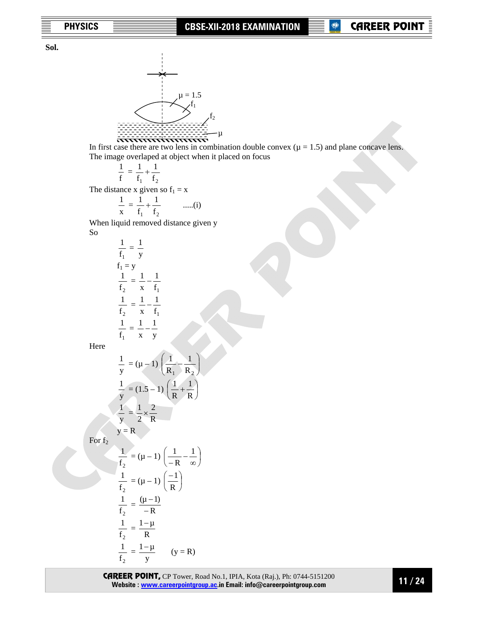**Sol.** 



In first case there are two lens in combination double convex  $(\mu = 1.5)$  and plane concave lens. The image overlaped at object when it placed on focus

$$
\frac{1}{f} = \frac{1}{f_1} + \frac{1}{f_2}
$$

The distance x given so  $f_1 = x$ 

 $\frac{1}{f_1} = \frac{1}{y}$ 

 $f<sub>2</sub>$  $\frac{1}{2}$  =

 $f<sub>2</sub>$  $\frac{1}{2}$  =

$$
\frac{1}{x} = \frac{1}{f_1} + \frac{1}{f_2} \qquad \qquad \dots (i)
$$

 When liquid removed distance given y So

> $f_1$ 1

> $f_1$ 1

x  $\frac{1}{-}$   $-$ 

x  $\frac{1}{-}$   $-$ 

 $\frac{1}{f_1} = \frac{1}{x} - \frac{1}{y}$ x  $\frac{1}{-}$   $-$ 

Here

 $f_1 = y$ 

$$
\frac{1}{y} = (\mu - 1) \left( \frac{1}{R_1} - \frac{1}{R_2} \right)
$$

$$
\frac{1}{y} = (1.5 - 1) \left( \frac{1}{R} + \frac{1}{R} \right)
$$

$$
\frac{1}{y} = \frac{1}{2} \times \frac{2}{R}
$$

 $y = R$ For  $f_2$ 

$$
\frac{1}{f_2} = (\mu - 1) \left( \frac{1}{-R} - \frac{1}{\infty} \right)
$$

$$
\frac{1}{f_2} = (\mu - 1) \left( \frac{-1}{R} \right)
$$

$$
\frac{1}{f_2} = \frac{(\mu - 1)}{-R}
$$

$$
\frac{1}{f_2} = \frac{1 - \mu}{R}
$$

$$
\frac{1}{f_2} = \frac{1 - \mu}{y} \qquad (y = R)
$$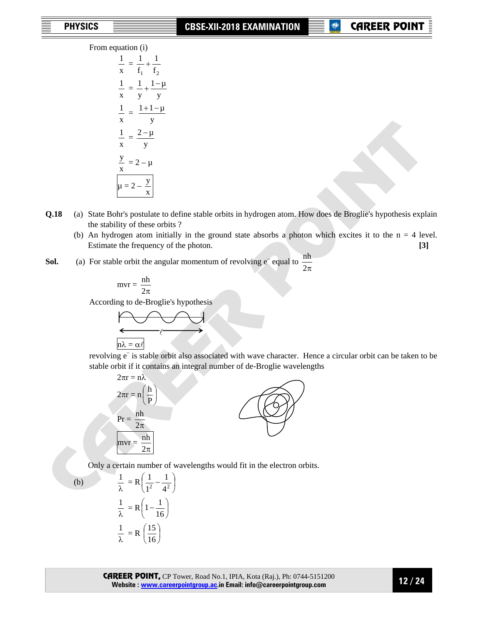From equation (i)

 $\frac{1}{x}$  $\frac{1}{2}$  =  $\mathbf{f}_1$   $\mathbf{f}_2$ 1 f  $\frac{1}{1}$  $\frac{1}{x}$  $\frac{1}{x} = \frac{1}{y} + \frac{1-\mu}{y}$ y  $\frac{1}{-} + \frac{1}{-}$  $\frac{1}{x}$  $\frac{1}{x} = \frac{1+1-\mu}{y}$  $\frac{1}{x}$  $\frac{1}{x} = \frac{2 - \mu}{y}$  $\frac{y}{x} = 2 - \mu$  $\mu = 2$ x y

- **Q.18** (a) State Bohr's postulate to define stable orbits in hydrogen atom. How does de Broglie's hypothesis explain the stability of these orbits ?
	- (b) An hydrogen atom initially in the ground state absorbs a photon which excites it to the  $n = 4$  level. Estimate the frequency of the photon. **[3] [3]**
- **Sol.** (a) For stable orbit the angular momentum of revolving  $e^-$  equal to  $\frac{nh}{2\pi}$

$$
mvr = \frac{nh}{2\pi}
$$

According to de-Broglie's hypothesis



 revolving e– is stable orbit also associated with wave character. Hence a circular orbit can be taken to be stable orbit if it contains an integral number of de-Broglie wavelengths



Only a certain number of wavelengths would fit in the electron orbits.

(b) 
$$
\frac{1}{\lambda} = R \left( \frac{1}{1^2} - \frac{1}{4^2} \right)
$$

$$
\frac{1}{\lambda} = R \left( 1 - \frac{1}{16} \right)
$$

$$
\frac{1}{\lambda} = R \left( \frac{15}{16} \right)
$$

⎠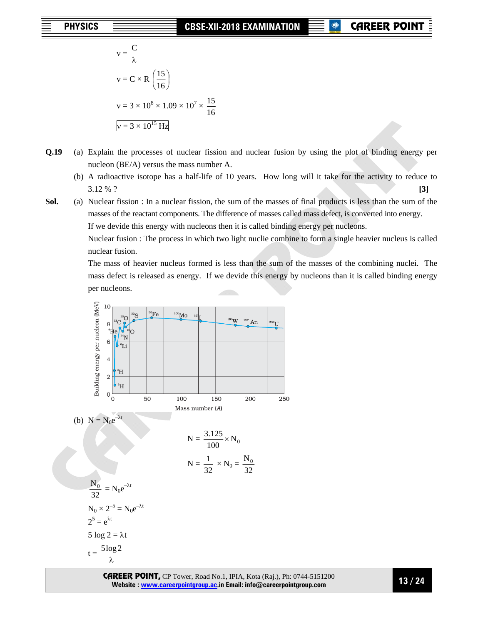CAREER POINT

$$
v = \frac{C}{\lambda}
$$
  

$$
v = C \times R \left(\frac{15}{16}\right)
$$
  

$$
v = 3 \times 10^8 \times 1.09 \times 10^7 \times \frac{15}{16}
$$
  

$$
v = 3 \times 10^{15} Hz
$$

- **Q.19** (a) Explain the processes of nuclear fission and nuclear fusion by using the plot of binding energy per nucleon (BE/A) versus the mass number A.
	- (b) A radioactive isotope has a half-life of 10 years. How long will it take for the activity to reduce to 3.12 % ? **[3]**

**Sol.** (a) Nuclear fission : In a nuclear fission, the sum of the masses of final products is less than the sum of the masses of the reactant components. The difference of masses called mass defect, is converted into energy. If we devide this energy with nucleons then it is called binding energy per nucleons.

> Nuclear fusion : The process in which two light nuclie combine to form a single heavier nucleus is called nuclear fusion.

> The mass of heavier nucleus formed is less than the sum of the masses of the combining nuclei. The mass defect is released as energy. If we devide this energy by nucleons than it is called binding energy per nucleons.

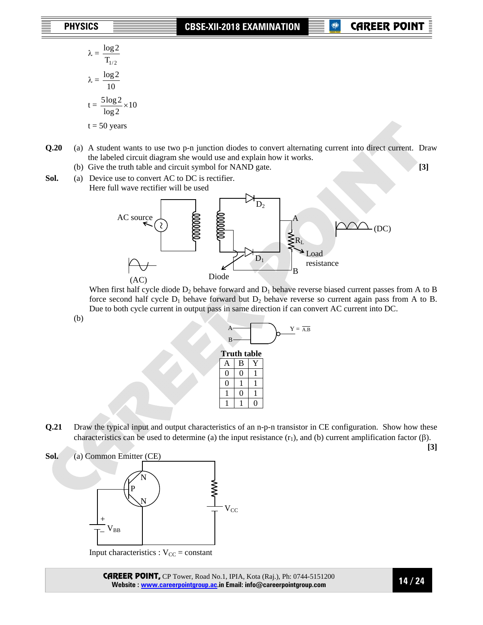- $\lambda = \frac{\log 2}{\mathrm{T_{1/2}}}$  $\lambda = \frac{\log 2}{10}$  $t = \frac{3.082}{1.08} \times 10$ log 2  $\frac{5\log 2}{1}$  ×  $t = 50$  years
- **Q.20** (a) A student wants to use two p-n junction diodes to convert alternating current into direct current. Draw the labeled circuit diagram she would use and explain how it works.
	- (b) Give the truth table and circuit symbol for NAND gate. **[3]**
- Sol. (a) Device use to convert AC to DC is rectifier. Here full wave rectifier will be used



When first half cycle diode  $D_2$  behave forward and  $D_1$  behave reverse biased current passes from A to B force second half cycle  $D_1$  behave forward but  $D_2$  behave reverse so current again pass from A to B. Due to both cycle current in output pass in same direction if can convert AC current into DC.

(b)

| B        |                    |   |  |
|----------|--------------------|---|--|
|          | <b>Truth table</b> |   |  |
| A        | B                  |   |  |
| $\theta$ | О                  |   |  |
| 0        |                    |   |  |
|          | 0                  |   |  |
|          |                    | 0 |  |

**Q.21** Draw the typical input and output characteristics of an n-p-n transistor in CE configuration. Show how these characteristics can be used to determine (a) the input resistance  $(r_1)$ , and (b) current amplification factor ( $\beta$ ).

**[3]**

**Sol.** (a) Common Emitter (CE) P N N  $V_{CC}$  $\rm V_{BB}$ + –

**Input characteristics :**  $V_{CC}$  **= constant**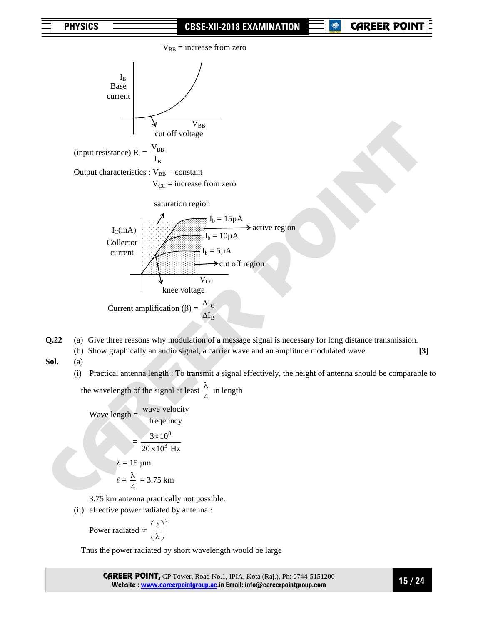

**Q.22** (a) Give three reasons why modulation of a message signal is necessary for long distance transmission. (b) Show graphically an audio signal, a carrier wave and an amplitude modulated wave. **[3]** 

**Sol.** (a)

(i) Practical antenna length : To transmit a signal effectively, the height of antenna should be comparable to the wavelength of the signal at least  $\frac{\lambda}{4}$  in length

Wave length  $=$   $\frac{\text{wave velocity}}{\text{frequency}}$  $3\times10^8$ 

$$
= \frac{3 \times 10}{20 \times 10^3 \text{ Hz}}
$$

 $λ = 15 μm$  $\ell = \frac{\lambda}{4} = 3.75$  km

3.75 km antenna practically not possible.

(ii) effective power radiated by antenna :

 Power radiated ∝ 2  $\sqrt{2}$ ⎠  $\left(\frac{\ell}{2}\right)$ ⎝  $\big($ λ  $\ell$ 

Thus the power radiated by short wavelength would be large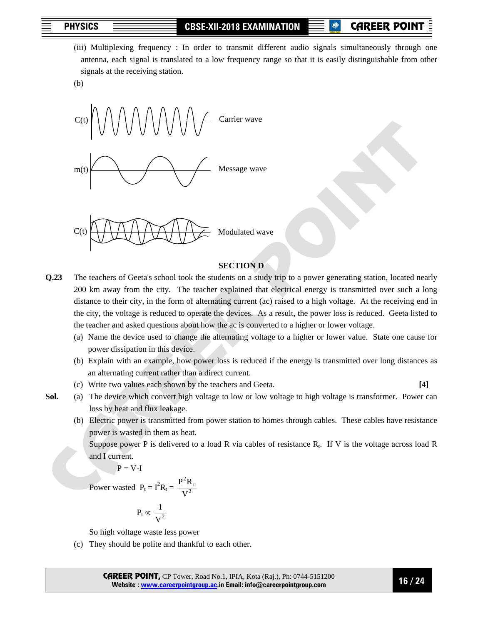# **P** CAREER POIN

 (iii) Multiplexing frequency : In order to transmit different audio signals simultaneously through one antenna, each signal is translated to a low frequency range so that it is easily distinguishable from other signals at the receiving station.

(b)



# **SECTION D**

- **Q.23** The teachers of Geeta's school took the students on a study trip to a power generating station, located nearly 200 km away from the city. The teacher explained that electrical energy is transmitted over such a long distance to their city, in the form of alternating current (ac) raised to a high voltage. At the receiving end in the city, the voltage is reduced to operate the devices. As a result, the power loss is reduced. Geeta listed to the teacher and asked questions about how the ac is converted to a higher or lower voltage.
	- (a) Name the device used to change the alternating voltage to a higher or lower value. State one cause for power dissipation in this device.
	- (b) Explain with an example, how power loss is reduced if the energy is transmitted over long distances as an alternating current rather than a direct current.
	- (c) Write two values each shown by the teachers and Geeta. **[4]**
- **Sol.** (a) The device which convert high voltage to low or low voltage to high voltage is transformer. Power can loss by heat and flux leakage.
	- (b) Electric power is transmitted from power station to homes through cables. These cables have resistance power is wasted in them as heat.

Suppose power P is delivered to a load R via cables of resistance  $R_t$ . If V is the voltage across load R and I current.

 $P = V-I$ 

Power wasted  $P_t = I^2 R_t = \frac{P^2 R_t}{V^2}$ V  $P^2R$ 

$$
P_t \propto \frac{1}{V^2}
$$

So high voltage waste less power

(c) They should be polite and thankful to each other.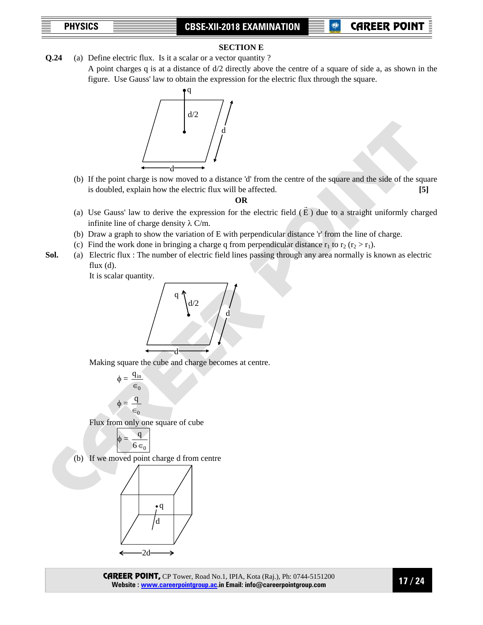### **SECTION E**

**Q.24** (a) Define electric flux. Is it a scalar or a vector quantity ? A point charges q is at a distance of d/2 directly above the centre of a square of side a, as shown in the figure. Use Gauss' law to obtain the expression for the electric flux through the square.



 (b) If the point charge is now moved to a distance 'd' from the centre of the square and the side of the square is doubled, explain how the electric flux will be affected. **[5]**

### **OR**

- (a) Use Gauss' law to derive the expression for the electric field  $(\vec{E})$  due to a straight uniformly charged infinite line of charge density  $\lambda$  C/m.
- (b) Draw a graph to show the variation of E with perpendicular distance 'r' from the line of charge.
- (c) Find the work done in bringing a charge q from perpendicular distance  $r_1$  to  $r_2$  ( $r_2 > r_1$ ).
- **Sol.** (a) Electric flux : The number of electric field lines passing through any area normally is known as electric flux (d).

It is scalar quantity.



Making square the cube and charge becomes at centre.

 $\phi =$  $\epsilon_0$  $q_{in}$  $\phi = \frac{q}{\sqrt{q}}$  $\epsilon$ <sub>0</sub>

Flux from only one square of cube



CAREER POINT, CP Tower, Road No.1, IPIA, Kota (Raj.), Ph: 0744-5151200 **Website : www.careerpointgroup.ac.in Email: info@careerpointgroup.com** 

**17 / 24**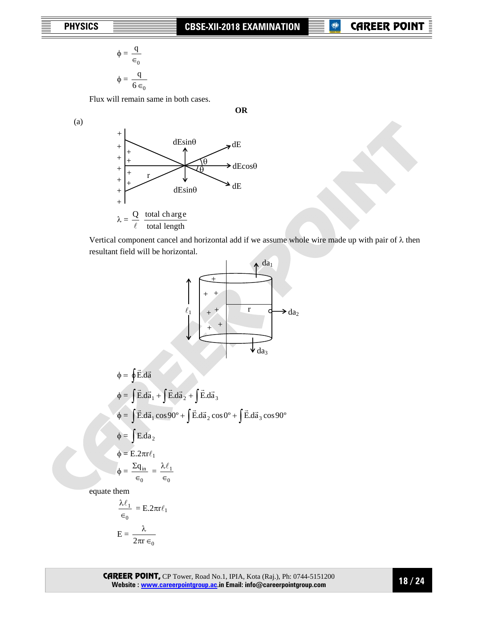**OR** 

$$
\phi = \frac{q}{\epsilon_0}
$$

$$
\phi = \frac{q}{6 \epsilon_0}
$$

Flux will remain same in both cases.

(a)



Vertical component cancel and horizontal add if we assume whole wire made up with pair of  $\lambda$  then resultant field will be horizontal.



$$
E = \frac{\lambda}{2\pi r \epsilon_0}
$$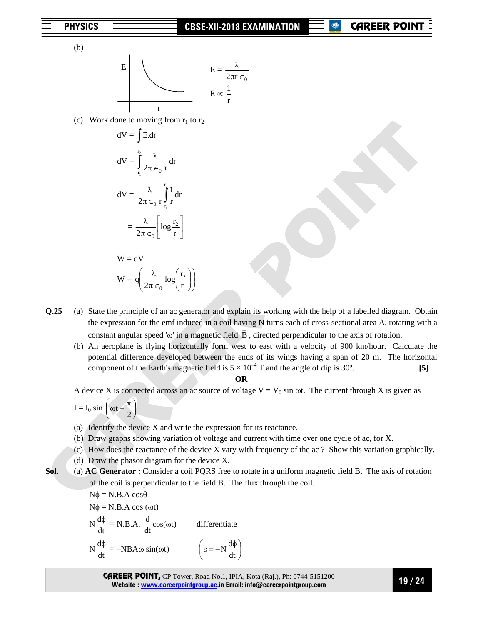(b)

$$
E = \frac{\lambda}{2\pi r \epsilon_0}
$$

$$
E = \frac{\lambda}{2\pi r \epsilon_0}
$$

$$
E \propto \frac{1}{r}
$$

(c) Work done to moving from  $r_1$  to  $r_2$ 

$$
dV = \int E dr
$$
  
\n
$$
dV = \int_{r_1}^{r_2} \frac{\lambda}{2\pi \epsilon_0 r} dr
$$
  
\n
$$
dV = \frac{\lambda}{2\pi \epsilon_0 r} \int_{r_1}^{r_2} \frac{1}{r} dr
$$
  
\n
$$
= \frac{\lambda}{2\pi \epsilon_0} \left[ \log \frac{r_2}{r_1} \right]
$$
  
\n
$$
W = qV
$$
  
\n
$$
W = q \left( \frac{\lambda}{2\pi \epsilon_0} \log \left( \frac{r_2}{r_1} \right) \right)
$$

- **Q.25** (a) State the principle of an ac generator and explain its working with the help of a labelled diagram. Obtain the expression for the emf induced in a coil having N turns each of cross-sectional area A, rotating with a constant angular speed 'ω' in a magnetic field  $\vec{B}$ , directed perpendicular to the axis of rotation.
	- (b) An aeroplane is flying horizontally form west to east with a velocity of 900 km/hour. Calculate the potential difference developed between the ends of its wings having a span of 20 m. The horizontal component of the Earth's magnetic field is  $5 \times 10^{-4}$  T and the angle of dip is 30°. **[5]**

## **OR**

A device X is connected across an ac source of voltage  $V = V_0 \sin \omega t$ . The current through X is given as

$$
I = I_0 \sin \left( \omega t + \frac{\pi}{2} \right).
$$

(a) Identify the device X and write the expression for its reactance.

 $\overline{a}$ ⎠

⎞

- (b) Draw graphs showing variation of voltage and current with time over one cycle of ac, for X.
- (c) How does the reactance of the device X vary with frequency of the ac ? Show this variation graphically.
- (d) Draw the phasor diagram for the device X.
- **Sol.** (a) **AC Generator :** Consider a coil PQRS free to rotate in a uniform magnetic field B. The axis of rotation of the coil is perpendicular to the field B. The flux through the coil.

 $N\phi = N.B.A \cos\theta$  $Nφ = N.B.A cos (ωt)$  N  $\frac{d\phi}{dt}$  = N.B.A.  $\frac{d}{dt}cos(\omega t)$ differentiate N  $\frac{d\phi}{dt} = -NBA\omega \sin(\omega t)$   $\left(\epsilon = -N\frac{d\phi}{dt}\right)$ ⎠  $\epsilon = -N \frac{d\phi}{dt}$  $\left(\epsilon = -N\frac{d\phi}{dt}\right)$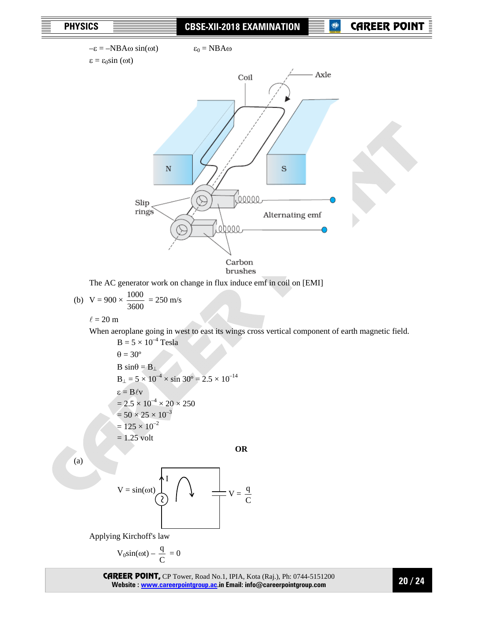

The AC generator work on change in flux induce emf in coil on [EMI]

(b) 
$$
V = 900 \times \frac{1000}{3600} = 250
$$
 m/s

 $\ell = 20$  m

When aeroplane going in west to east its wings cross vertical component of earth magnetic field.

**OR** 

 $B = 5 \times 10^{-4}$  Tesla  $\theta = 30^{\circ}$  $B \sin\theta = B_1$  $B_{\perp} = 5 \times 10^{-4} \times \sin 30^{\circ} = 2.5 \times 10^{-14}$  ε = Blv  $= 2.5 \times 10^{-4} \times 20 \times 250$  $= 50 \times 25 \times 10^{-3}$  $= 125 \times 10^{-2}$  $= 1.25$  volt

(a)

$$
V = \sin(\omega t)
$$
 
$$
V = \frac{q}{C}
$$

Applying Kirchoff's law

$$
V_0\sin(\omega t) - \frac{q}{C} = 0
$$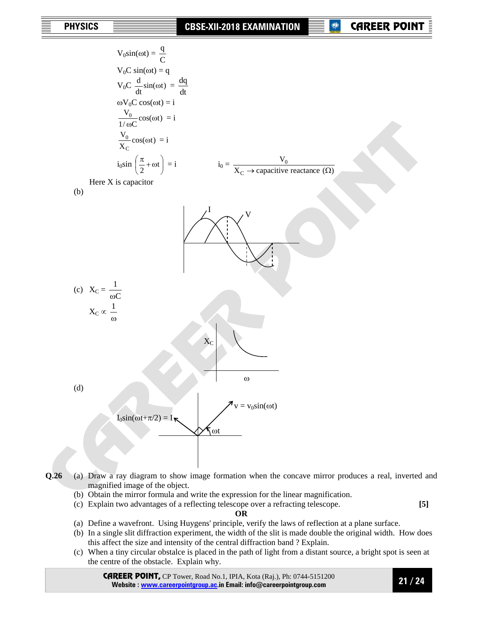CAREER POINT

$$
V_{0}\sin(\omega t) = \frac{q}{C}
$$
  
\n
$$
V_{0}C \sin(\omega t) = q
$$
  
\n
$$
V_{0}C \frac{d}{dt} \sin(\omega t) = \frac{dq}{dt}
$$
  
\n
$$
\omega V_{0}C \cos(\omega t) = i
$$
  
\n
$$
\frac{V_{0}}{1/\omega C} \cos(\omega t) = i
$$
  
\n
$$
\frac{V_{0}}{X_{C}} \cos(\omega t) = i
$$
  
\n
$$
\frac{V_{0}}{X_{C}} \cos(\omega t) = i
$$
  
\nHere X is capacitor  
\n(b) Here X is capacitor  
\n
$$
X_{C} \propto \frac{1}{\omega}
$$
  
\n
$$
X_{C} \propto \frac{1}{\omega}
$$
  
\n
$$
X_{C} \propto \frac{1}{\omega}
$$
  
\n
$$
V = V_{0} \sin(\omega t)
$$
  
\n
$$
I_{0} \sin(\omega t + \pi/2) = I_{\nabla}
$$
  
\n
$$
V_{0} \propto V_{0} \sin(\omega t)
$$

**Q.26** (a) Draw a ray diagram to show image formation when the concave mirror produces a real, inverted and magnified image of the object.

- (b) Obtain the mirror formula and write the expression for the linear magnification.
- (c) Explain two advantages of a reflecting telescope over a refracting telescope. **[5]**

### **OR**

- (a) Define a wavefront. Using Huygens' principle, verify the laws of reflection at a plane surface.
- (b) In a single slit diffraction experiment, the width of the slit is made double the original width. How does this affect the size and intensity of the central diffraction band ? Explain.
- (c) When a tiny circular obstalce is placed in the path of light from a distant source, a bright spot is seen at the centre of the obstacle. Explain why.

CAREER POINT, CP Tower, Road No.1, IPIA, Kota (Raj.), Ph: 0744-5151200 **Website : www.careerpointgroup.ac.in Email: info@careerpointgroup.com** 

**21 / 24**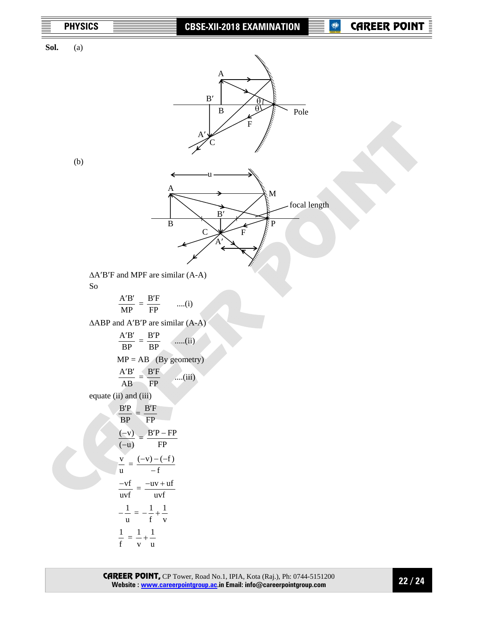

**Sol.** (a)



(b)



 ΔA′B′F and MPF are similar (A-A) So

$$
\frac{A'B'}{MP} = \frac{B'F}{FP} \qquad ....(i)
$$

ΔABP and A′B′P are similar (A-A)

$$
\frac{AB'}{BP} = \frac{BP}{BP} \quad \text{.....(ii)}
$$
\n
$$
MP = AB \quad \text{(By geometry)}
$$
\n
$$
\frac{AB'}{AB} = \frac{BF}{FP} \quad \text{.....(iii)}
$$
\nequate (ii) and (iii)\n
$$
\frac{BP}{BP} = \frac{B'F}{FP}
$$
\n
$$
\frac{(-v)}{(-u)} = \frac{B'P - FP}{FP}
$$
\n
$$
\frac{v}{u} = \frac{(-v) - (-f)}{-f}
$$
\n
$$
\frac{-vf}{u} = \frac{-uv + uf}{uvf}
$$
\n
$$
-\frac{1}{u} = -\frac{1}{f} + \frac{1}{v}
$$
\n
$$
\frac{1}{f} = \frac{1}{v} + \frac{1}{u}
$$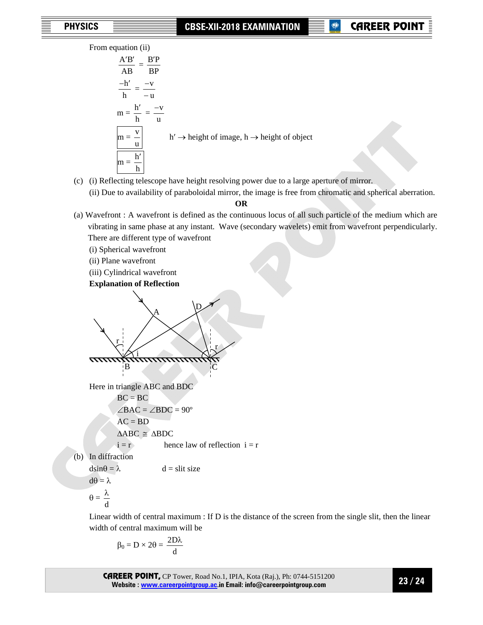From equation (ii)

$$
\frac{A'B'}{AB} = \frac{B'P}{BP}
$$
  

$$
\frac{-h'}{h} = \frac{-v}{-u}
$$
  

$$
m = \frac{h'}{h} = \frac{-v}{u}
$$
  

$$
m = \frac{v}{u} \qquad h' \rightarrow \text{height of image, } h \rightarrow \text{height of object}
$$
  

$$
m = \frac{h'}{h}
$$

- (c) (i) Reflecting telescope have height resolving power due to a large aperture of mirror.
	- (ii) Due to availability of paraboloidal mirror, the image is free from chromatic and spherical aberration. **OR**
- (a) Wavefront : A wavefront is defined as the continuous locus of all such particle of the medium which are vibrating in same phase at any instant. Wave (secondary wavelets) emit from wavefront perpendicularly. There are different type of wavefront
	- (i) Spherical wavefront
	- (ii) Plane wavefront
	- (iii) Cylindrical wavefront

**Explanation of Reflection** 

<sup>A</sup><sup>D</sup> r i r B C

Here in triangle ABC and BDC

 $BC = BC$  $\angle BAC = \angle BDC = 90^\circ$  $AC = BD$  $\triangle ABC \cong \triangle BDC$  $i = r$  hence law of reflection  $i = r$ 

 $d =$ slit size

(b) In diffraction

$$
dsin\theta = \lambda
$$

$$
d\theta = \lambda
$$

$$
\theta = \frac{7}{d}
$$

 Linear width of central maximum : If D is the distance of the screen from the single slit, then the linear width of central maximum will be

$$
\beta_0=D\times 2\theta=\frac{2D\lambda}{d}
$$